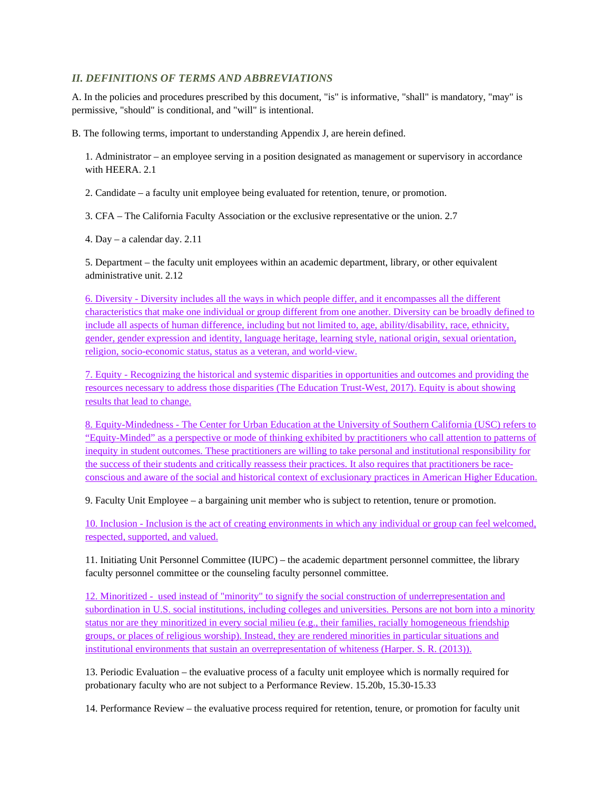## *II. DEFINITIONS OF TERMS AND ABBREVIATIONS*

A. In the policies and procedures prescribed by this document, "is" is informative, "shall" is mandatory, "may" is permissive, "should" is conditional, and "will" is intentional.

B. The following terms, important to understanding Appendix J, are herein defined.

1. Administrator – an employee serving in a position designated as management or supervisory in accordance with HEERA. 2.1

2. Candidate – a faculty unit employee being evaluated for retention, tenure, or promotion.

3. CFA – The California Faculty Association or the exclusive representative or the union. 2.7

4. Day – a calendar day. 2.11

5. Department – the faculty unit employees within an academic department, library, or other equivalent administrative unit. 2.12

6. Diversity - Diversity includes all the ways in which people differ, and it encompasses all the different characteristics that make one individual or group different from one another. Diversity can be broadly defined to include all aspects of human difference, including but not limited to, age, ability/disability, race, ethnicity, gender, gender expression and identity, language heritage, learning style, national origin, sexual orientation, religion, socio-economic status, status as a veteran, and world-view.

7. Equity - Recognizing the historical and systemic disparities in opportunities and outcomes and providing the resources necessary to address those disparities (The Education Trust-West, 2017). Equity is about showing results that lead to change.

8. Equity-Mindedness - The Center for Urban Education at the University of Southern California (USC) refers to "Equity-Minded" as a perspective or mode of thinking exhibited by practitioners who call attention to patterns of inequity in student outcomes. These practitioners are willing to take personal and institutional responsibility for the success of their students and critically reassess their practices. It also requires that practitioners be raceconscious and aware of the social and historical context of exclusionary practices in American Higher Education.

9. Faculty Unit Employee – a bargaining unit member who is subject to retention, tenure or promotion.

10. Inclusion - Inclusion is the act of creating environments in which any individual or group can feel welcomed, respected, supported, and valued.

11. Initiating Unit Personnel Committee (IUPC) – the academic department personnel committee, the library faculty personnel committee or the counseling faculty personnel committee.

12. Minoritized - used instead of "minority" to signify the social construction of underrepresentation and subordination in U.S. social institutions, including colleges and universities. Persons are not born into a minority status nor are they minoritized in every social milieu (e.g., their families, racially homogeneous friendship groups, or places of religious worship). Instead, they are rendered minorities in particular situations and institutional environments that sustain an overrepresentation of whiteness (Harper. S. R. (2013)).

13. Periodic Evaluation – the evaluative process of a faculty unit employee which is normally required for probationary faculty who are not subject to a Performance Review. 15.20b, 15.30-15.33

14. Performance Review – the evaluative process required for retention, tenure, or promotion for faculty unit